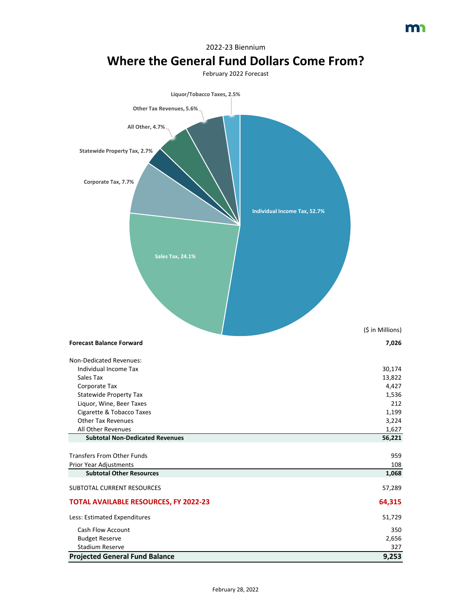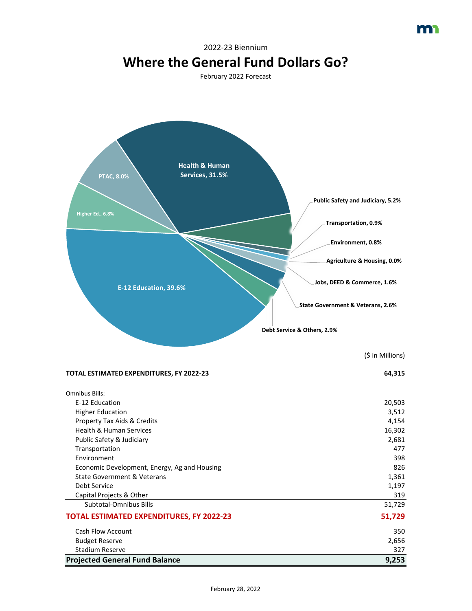![](_page_1_Figure_0.jpeg)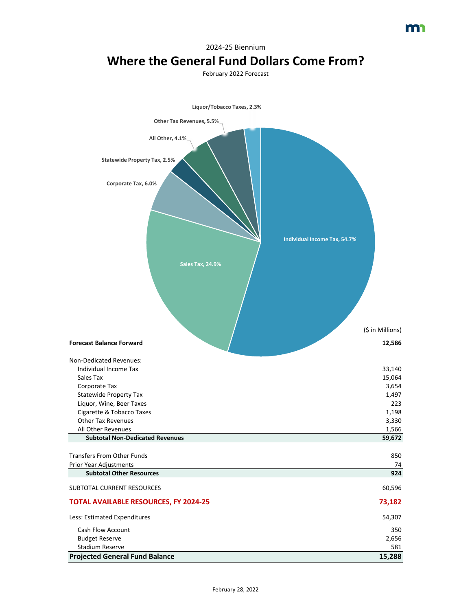![](_page_2_Figure_0.jpeg)

## 2024-25 Biennium

**Projected General Fund Balance 15,288**